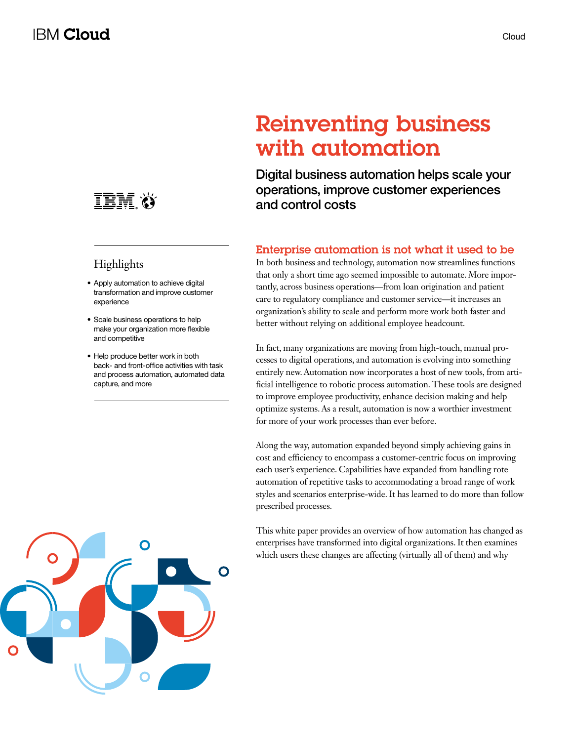

### **Highlights**

- Apply automation to achieve digital transformation and improve customer experience
- Scale business operations to help make your organization more flexible and competitive
- Help produce better work in both back- and front-office activities with task and process automation, automated data capture, and more

# Reinventing business with automation

Digital business automation helps scale your operations, improve customer experiences and control costs

### Enterprise automation is not what it used to be

In both business and technology, automation now streamlines functions that only a short time ago seemed impossible to automate. More importantly, across business operations—from loan origination and patient care to regulatory compliance and customer service—it increases an organization's ability to scale and perform more work both faster and better without relying on additional employee headcount.

In fact, many organizations are moving from high-touch, manual processes to digital operations, and automation is evolving into something entirely new. Automation now incorporates a host of new tools, from artificial intelligence to robotic process automation. These tools are designed to improve employee productivity, enhance decision making and help optimize systems. As a result, automation is now a worthier investment for more of your work processes than ever before.

Along the way, automation expanded beyond simply achieving gains in cost and efficiency to encompass a customer-centric focus on improving each user's experience. Capabilities have expanded from handling rote automation of repetitive tasks to accommodating a broad range of work styles and scenarios enterprise-wide. It has learned to do more than follow prescribed processes.

This white paper provides an overview of how automation has changed as enterprises have transformed into digital organizations. It then examines which users these changes are affecting (virtually all of them) and why

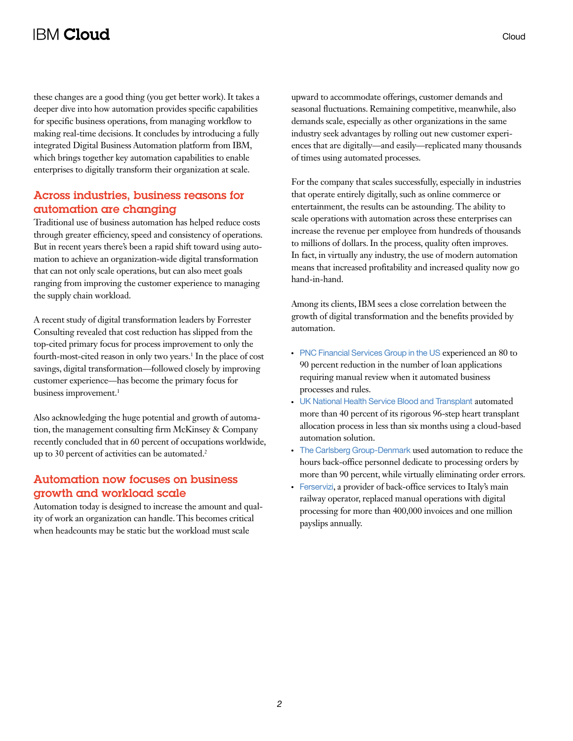# **IBM Cloud**

these changes are a good thing (you get better work). It takes a deeper dive into how automation provides specific capabilities for specific business operations, from managing workflow to making real-time decisions. It concludes by introducing a fully integrated Digital Business Automation platform from IBM, which brings together key automation capabilities to enable enterprises to digitally transform their organization at scale.

### Across industries, business reasons for automation are changing

Traditional use of business automation has helped reduce costs through greater efficiency, speed and consistency of operations. But in recent years there's been a rapid shift toward using automation to achieve an organization-wide digital transformation that can not only scale operations, but can also meet goals ranging from improving the customer experience to managing the supply chain workload.

A recent study of digital transformation leaders by Forrester Consulting revealed that cost reduction has slipped from the top-cited primary focus for process improvement to only the fourth-most-cited reason in only two years.<sup>1</sup> In the place of cost savings, digital transformation—followed closely by improving customer experience—has become the primary focus for business improvement.<sup>1</sup>

Also acknowledging the huge potential and growth of automation, the management consulting firm McKinsey & Company recently concluded that in 60 percent of occupations worldwide, up to 30 percent of activities can be automated.<sup>2</sup>

#### Automation now focuses on business growth and workload scale

Automation today is designed to increase the amount and quality of work an organization can handle. This becomes critical when headcounts may be static but the workload must scale

upward to accommodate offerings, customer demands and seasonal fluctuations. Remaining competitive, meanwhile, also demands scale, especially as other organizations in the same industry seek advantages by rolling out new customer experiences that are digitally—and easily—replicated many thousands of times using automated processes.

For the company that scales successfully, especially in industries that operate entirely digitally, such as online commerce or entertainment, the results can be astounding. The ability to scale operations with automation across these enterprises can increase the revenue per employee from hundreds of thousands to millions of dollars. In the process, quality often improves. In fact, in virtually any industry, the use of modern automation means that increased profitability and increased quality now go hand-in-hand.

Among its clients, IBM sees a close correlation between the growth of digital transformation and the benefits provided by automation.

- [PNC Financial Services Group in the US](http://ecc.ibm.com/case-study/us-en/ECCF-STC12350USEN) experienced an 80 to 90 percent reduction in the number of loan applications requiring manual review when it automated business processes and rules.
- [UK National Health Service Blood and Transplant](http://ecc.ibm.com/case-study/us-en/ECCF-MBC03023USEN) automated more than 40 percent of its rigorous 96-step heart transplant allocation process in less than six months using a cloud-based automation solution.
- [The Carlsberg Group-Denmark](https://www-01.ibm.com/common/ssi/cgi-bin/ssialias?htmlfid=STC12351USEN&) used automation to reduce the hours back-office personnel dedicate to processing orders by more than 90 percent, while virtually eliminating order errors.
- [Ferservizi](http://ecc.ibm.com/case-study/us-en/ECCF-IMC15106USEN), a provider of back-office services to Italy's main railway operator, replaced manual operations with digital processing for more than 400,000 invoices and one million payslips annually.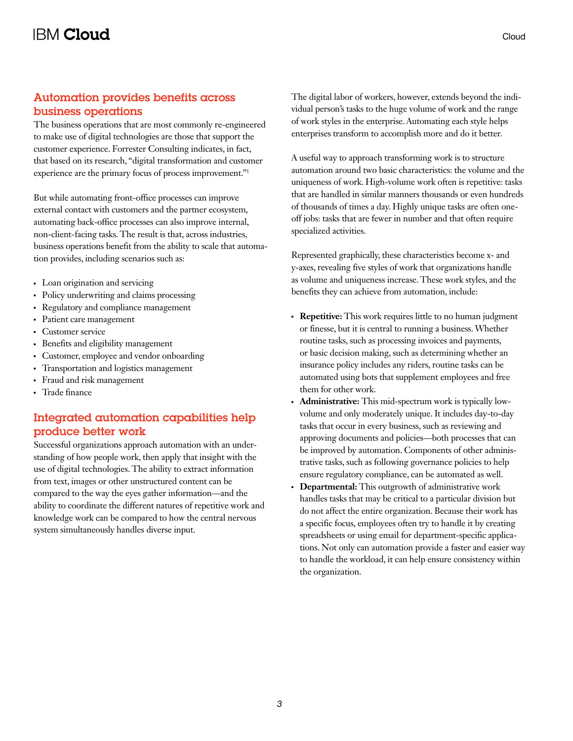#### Automation provides benefits across business operations

The business operations that are most commonly re-engineered to make use of digital technologies are those that support the customer experience. Forrester Consulting indicates, in fact, that based on its research, "digital transformation and customer experience are the primary focus of process improvement."1

But while automating front-office processes can improve external contact with customers and the partner ecosystem, automating back-office processes can also improve internal, non-client-facing tasks. The result is that, across industries, business operations benefit from the ability to scale that automation provides, including scenarios such as:

- Loan origination and servicing
- Policy underwriting and claims processing
- Regulatory and compliance management
- Patient care management
- Customer service
- Benefits and eligibility management
- Customer, employee and vendor onboarding
- Transportation and logistics management
- Fraud and risk management
- Trade finance

### Integrated automation capabilities help produce better work

Successful organizations approach automation with an understanding of how people work, then apply that insight with the use of digital technologies. The ability to extract information from text, images or other unstructured content can be compared to the way the eyes gather information—and the ability to coordinate the different natures of repetitive work and knowledge work can be compared to how the central nervous system simultaneously handles diverse input.

The digital labor of workers, however, extends beyond the individual person's tasks to the huge volume of work and the range of work styles in the enterprise. Automating each style helps enterprises transform to accomplish more and do it better.

A useful way to approach transforming work is to structure automation around two basic characteristics: the volume and the uniqueness of work. High-volume work often is repetitive: tasks that are handled in similar manners thousands or even hundreds of thousands of times a day. Highly unique tasks are often oneoff jobs: tasks that are fewer in number and that often require specialized activities.

Represented graphically, these characteristics become x- and y-axes, revealing five styles of work that organizations handle as volume and uniqueness increase. These work styles, and the benefits they can achieve from automation, include:

- **Repetitive:** This work requires little to no human judgment or finesse, but it is central to running a business. Whether routine tasks, such as processing invoices and payments, or basic decision making, such as determining whether an insurance policy includes any riders, routine tasks can be automated using bots that supplement employees and free them for other work.
- **Administrative:** This mid-spectrum work is typically lowvolume and only moderately unique. It includes day-to-day tasks that occur in every business, such as reviewing and approving documents and policies—both processes that can be improved by automation. Components of other administrative tasks, such as following governance policies to help ensure regulatory compliance, can be automated as well.
- **Departmental:** This outgrowth of administrative work handles tasks that may be critical to a particular division but do not affect the entire organization. Because their work has a specific focus, employees often try to handle it by creating spreadsheets or using email for department-specific applications. Not only can automation provide a faster and easier way to handle the workload, it can help ensure consistency within the organization.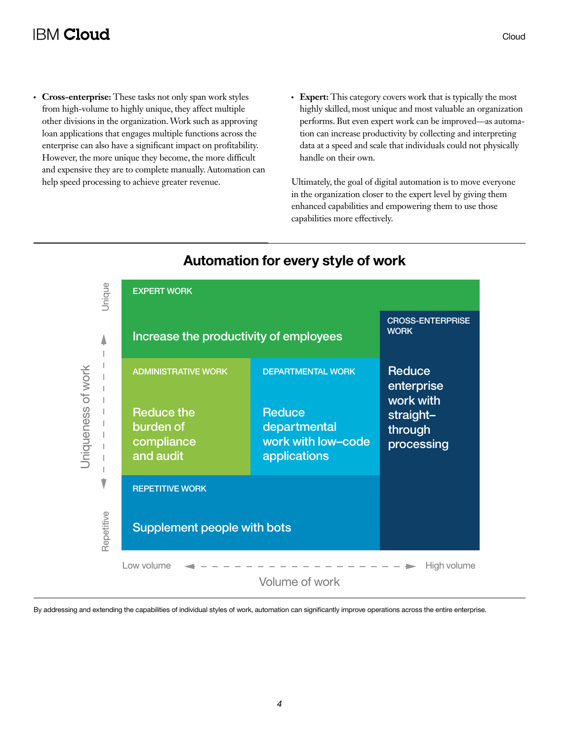# **IBM Cloud**

- Cross-enterprise: These tasks not only span work styles from high-volume to highly unique, they affect multiple other divisions in the organization. Work such as approving loan applications that engages multiple functions across the enterprise can also have a significant impact on profitability. However, the more unique they become, the more difficult and expensive they are to complete manually. Automation can help speed processing to achieve greater revenue.
- Expert: This category covers work that is typically the most highly skilled, most unique and most valuable an organization performs. But even expert work can be improved—as automation can increase productivity by collecting and interpreting data at a speed and scale that individuals could not physically handle on their own.

Ultimately, the goal of digital automation is to move everyone in the organization closer to the expert level by giving them enhanced capabilities and empowering them to use those capabilities more effectively.



## **Automation for every style of work**

By addressing and extending the capabilities of individual styles of work, automation can significantly improve operations across the entire enterprise.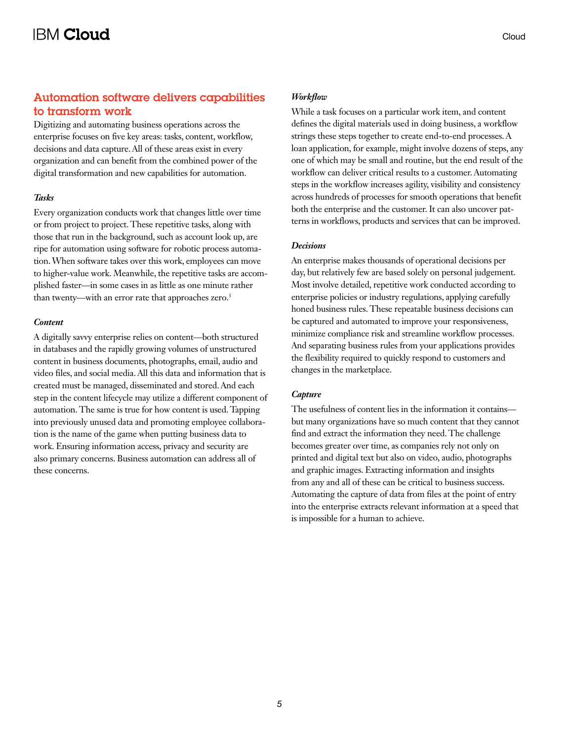### Automation software delivers capabilities to transform work

Digitizing and automating business operations across the enterprise focuses on five key areas: tasks, content, workflow, decisions and data capture. All of these areas exist in every organization and can benefit from the combined power of the digital transformation and new capabilities for automation.

#### *Tasks*

Every organization conducts work that changes little over time or from project to project. These repetitive tasks, along with those that run in the background, such as account look up, are ripe for automation using software for robotic process automation. When software takes over this work, employees can move to higher-value work. Meanwhile, the repetitive tasks are accomplished faster—in some cases in as little as one minute rather than twenty—with an error rate that approaches zero.<sup>3</sup>

#### *Content*

A digitally savvy enterprise relies on content—both structured in databases and the rapidly growing volumes of unstructured content in business documents, photographs, email, audio and video files, and social media. All this data and information that is created must be managed, disseminated and stored. And each step in the content lifecycle may utilize a different component of automation. The same is true for how content is used. Tapping into previously unused data and promoting employee collaboration is the name of the game when putting business data to work. Ensuring information access, privacy and security are also primary concerns. Business automation can address all of these concerns.

While a task focuses on a particular work item, and content defines the digital materials used in doing business, a workflow strings these steps together to create end-to-end processes. A loan application, for example, might involve dozens of steps, any one of which may be small and routine, but the end result of the workflow can deliver critical results to a customer. Automating steps in the workflow increases agility, visibility and consistency across hundreds of processes for smooth operations that benefit both the enterprise and the customer. It can also uncover patterns in workflows, products and services that can be improved.

#### *Decisions*

An enterprise makes thousands of operational decisions per day, but relatively few are based solely on personal judgement. Most involve detailed, repetitive work conducted according to enterprise policies or industry regulations, applying carefully honed business rules. These repeatable business decisions can be captured and automated to improve your responsiveness, minimize compliance risk and streamline workflow processes. And separating business rules from your applications provides the flexibility required to quickly respond to customers and changes in the marketplace.

#### *Capture*

The usefulness of content lies in the information it contains but many organizations have so much content that they cannot find and extract the information they need. The challenge becomes greater over time, as companies rely not only on printed and digital text but also on video, audio, photographs and graphic images. Extracting information and insights from any and all of these can be critical to business success. Automating the capture of data from files at the point of entry into the enterprise extracts relevant information at a speed that is impossible for a human to achieve.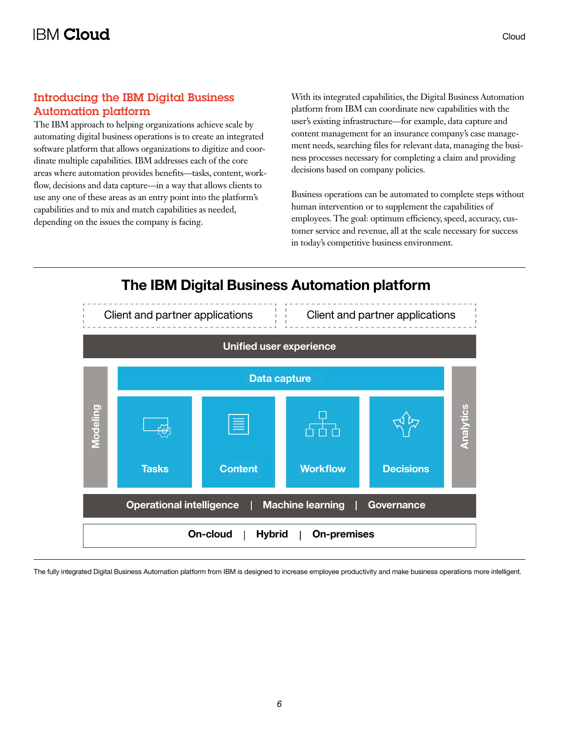### Introducing the IBM Digital Business Automation platform

The IBM approach to helping organizations achieve scale by automating digital business operations is to create an integrated software platform that allows organizations to digitize and coordinate multiple capabilities. IBM addresses each of the core areas where automation provides benefits—tasks, content, workflow, decisions and data capture—in a way that allows clients to use any one of these areas as an entry point into the platform's capabilities and to mix and match capabilities as needed, depending on the issues the company is facing.

With its integrated capabilities, the Digital Business Automation platform from IBM can coordinate new capabilities with the user's existing infrastructure—for example, data capture and content management for an insurance company's case management needs, searching files for relevant data, managing the business processes necessary for completing a claim and providing decisions based on company policies.

Business operations can be automated to complete steps without human intervention or to supplement the capabilities of employees. The goal: optimum efficiency, speed, accuracy, customer service and revenue, all at the scale necessary for success in today's competitive business environment.



The fully integrated Digital Business Automation platform from IBM is designed to increase employee productivity and make business operations more intelligent.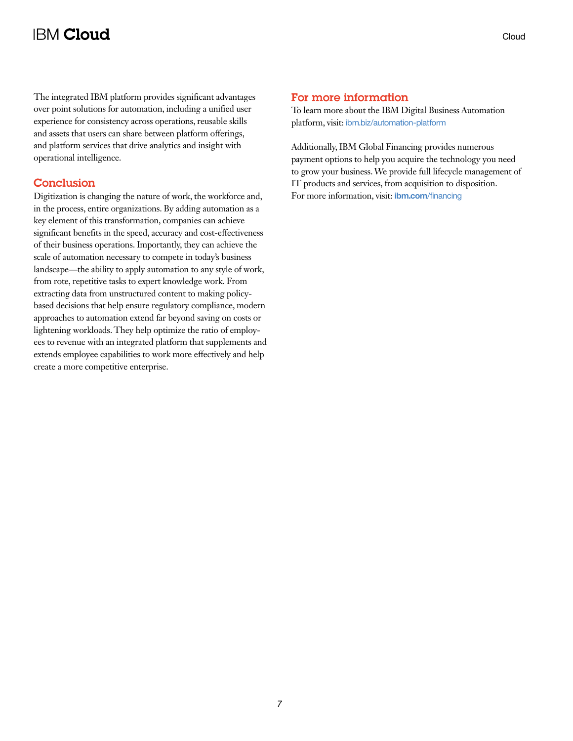# **IBM Cloud**

The integrated IBM platform provides significant advantages over point solutions for automation, including a unified user experience for consistency across operations, reusable skills and assets that users can share between platform offerings, and platform services that drive analytics and insight with operational intelligence.

#### **Conclusion**

Digitization is changing the nature of work, the workforce and, in the process, entire organizations. By adding automation as a key element of this transformation, companies can achieve significant benefits in the speed, accuracy and cost-effectiveness of their business operations. Importantly, they can achieve the scale of automation necessary to compete in today's business landscape—the ability to apply automation to any style of work, from rote, repetitive tasks to expert knowledge work. From extracting data from unstructured content to making policybased decisions that help ensure regulatory compliance, modern approaches to automation extend far beyond saving on costs or lightening workloads. They help optimize the ratio of employees to revenue with an integrated platform that supplements and extends employee capabilities to work more effectively and help create a more competitive enterprise.

#### For more information

To learn more about the IBM Digital Business Automation platform, visit: [ibm.biz/automation-platform](http://ibm.biz/automation-platform)

Additionally, IBM Global Financing provides numerous payment options to help you acquire the technology you need to grow your business. We provide full lifecycle management of IT products and services, from acquisition to disposition. For more information, visit: **ibm.com**[/financing](http://www.ibm.com/financing)